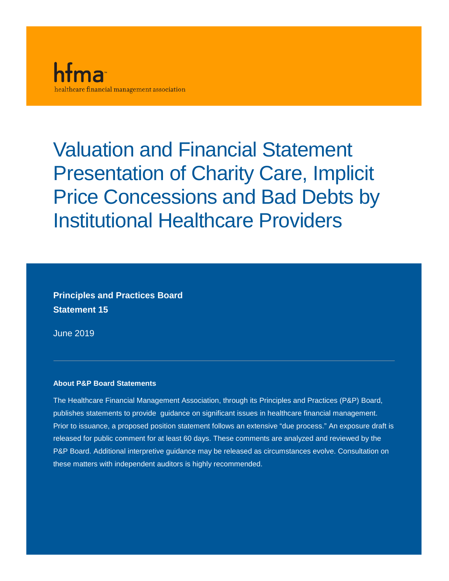

Valuation and Financial Statement Presentation of Charity Care, Implicit Price Concessions and Bad Debts by Institutional Healthcare Providers

**Principles and Practices Board Statement 15**

June 2019

#### **About P&P Board Statements**

The Healthcare Financial Management Association, through its Principles and Practices (P&P) Board, publishes statements to provide guidance on significant issues in healthcare financial management. Prior to issuance, a proposed position statement follows an extensive "due process." An exposure draft is released for public comment for at least 60 days. These comments are analyzed and reviewed by the P&P Board. Additional interpretive guidance may be released as circumstances evolve. Consultation on these matters with independent auditors is highly recommended.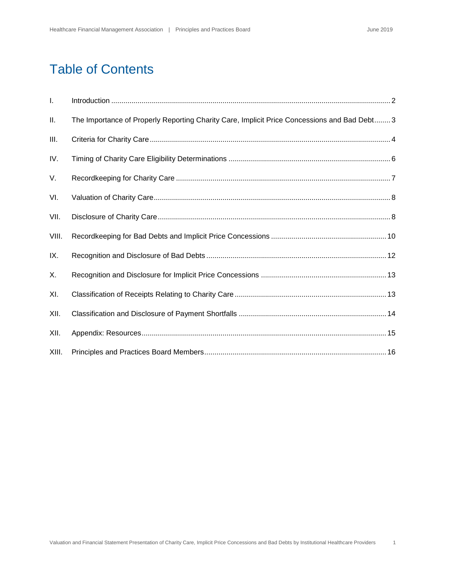# Table of Contents

| Τ.    |                                                                                              |
|-------|----------------------------------------------------------------------------------------------|
| Ш.    | The Importance of Properly Reporting Charity Care, Implicit Price Concessions and Bad Debt 3 |
| III.  |                                                                                              |
| IV.   |                                                                                              |
| V.    |                                                                                              |
| VI.   |                                                                                              |
| VII.  |                                                                                              |
| VIII. |                                                                                              |
| IX.   |                                                                                              |
| Χ.    |                                                                                              |
| XI.   |                                                                                              |
| XII.  |                                                                                              |
| XII.  |                                                                                              |
| XIII. |                                                                                              |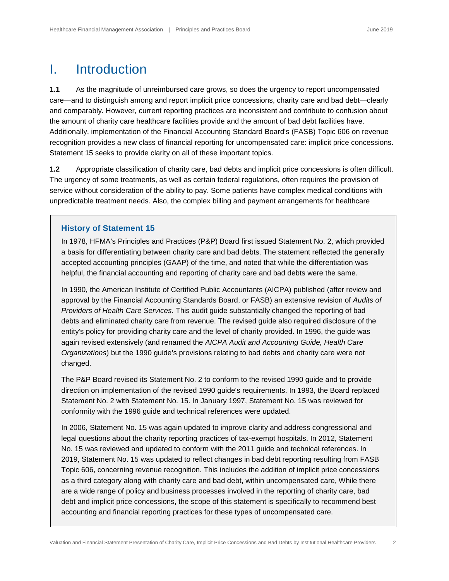### <span id="page-2-0"></span>I. Introduction

**1.1** As the magnitude of unreimbursed care grows, so does the urgency to report uncompensated care—and to distinguish among and report implicit price concessions, charity care and bad debt—clearly and comparably. However, current reporting practices are inconsistent and contribute to confusion about the amount of charity care healthcare facilities provide and the amount of bad debt facilities have. Additionally, implementation of the Financial Accounting Standard Board's (FASB) Topic 606 on revenue recognition provides a new class of financial reporting for uncompensated care: implicit price concessions. Statement 15 seeks to provide clarity on all of these important topics.

**1.2** Appropriate classification of charity care, bad debts and implicit price concessions is often difficult. The urgency of some treatments, as well as certain federal regulations, often requires the provision of service without consideration of the ability to pay. Some patients have complex medical conditions with unpredictable treatment needs. Also, the complex billing and payment arrangements for healthcare

#### **History of Statement 15**

In 1978, HFMA's Principles and Practices (P&P) Board first issued Statement No. 2, which provided a basis for differentiating between charity care and bad debts. The statement reflected the generally accepted accounting principles (GAAP) of the time, and noted that while the differentiation was helpful, the financial accounting and reporting of charity care and bad debts were the same.

In 1990, the American Institute of Certified Public Accountants (AICPA) published (after review and approval by the Financial Accounting Standards Board, or FASB) an extensive revision of *Audits of Providers of Health Care Services*. This audit guide substantially changed the reporting of bad debts and eliminated charity care from revenue. The revised guide also required disclosure of the entity's policy for providing charity care and the level of charity provided. In 1996, the guide was again revised extensively (and renamed the *AICPA Audit and Accounting Guide, Health Care Organizations*) but the 1990 guide's provisions relating to bad debts and charity care were not changed.

The P&P Board revised its Statement No. 2 to conform to the revised 1990 guide and to provide direction on implementation of the revised 1990 guide's requirements. In 1993, the Board replaced Statement No. 2 with Statement No. 15. In January 1997, Statement No. 15 was reviewed for conformity with the 1996 guide and technical references were updated.

In 2006, Statement No. 15 was again updated to improve clarity and address congressional and legal questions about the charity reporting practices of tax-exempt hospitals. In 2012, Statement No. 15 was reviewed and updated to conform with the 2011 guide and technical references. In 2019, Statement No. 15 was updated to reflect changes in bad debt reporting resulting from FASB Topic 606, concerning revenue recognition. This includes the addition of implicit price concessions as a third category along with charity care and bad debt, within uncompensated care, While there are a wide range of policy and business processes involved in the reporting of charity care, bad debt and implicit price concessions, the scope of this statement is specifically to recommend best accounting and financial reporting practices for these types of uncompensated care.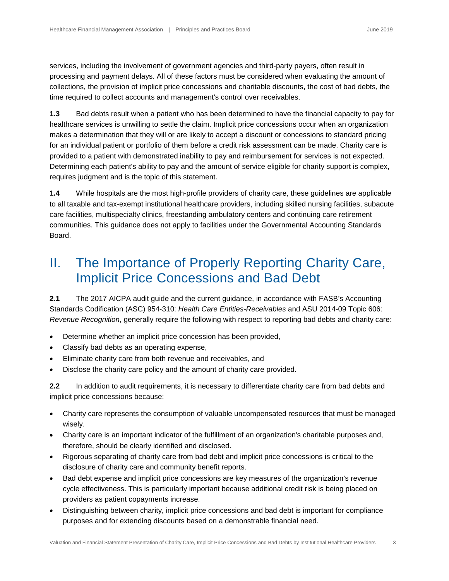services, including the involvement of government agencies and third-party payers, often result in processing and payment delays. All of these factors must be considered when evaluating the amount of collections, the provision of implicit price concessions and charitable discounts, the cost of bad debts, the time required to collect accounts and management's control over receivables.

**1.3** Bad debts result when a patient who has been determined to have the financial capacity to pay for healthcare services is unwilling to settle the claim. Implicit price concessions occur when an organization makes a determination that they will or are likely to accept a discount or concessions to standard pricing for an individual patient or portfolio of them before a credit risk assessment can be made. Charity care is provided to a patient with demonstrated inability to pay and reimbursement for services is not expected. Determining each patient's ability to pay and the amount of service eligible for charity support is complex, requires judgment and is the topic of this statement.

**1.4** While hospitals are the most high-profile providers of charity care, these guidelines are applicable to all taxable and tax-exempt institutional healthcare providers, including skilled nursing facilities, subacute care facilities, multispecialty clinics, freestanding ambulatory centers and continuing care retirement communities. This guidance does not apply to facilities under the Governmental Accounting Standards Board.

## <span id="page-3-0"></span>II. The Importance of Properly Reporting Charity Care, Implicit Price Concessions and Bad Debt

**2.1** The 2017 AICPA audit guide and the current guidance, in accordance with FASB's Accounting Standards Codification (ASC) 954-310: *Health Care Entities-Receivables* and ASU 2014-09 Topic 606: *Revenue Recognition*, generally require the following with respect to reporting bad debts and charity care:

- Determine whether an implicit price concession has been provided,
- Classify bad debts as an operating expense,
- Eliminate charity care from both revenue and receivables, and
- Disclose the charity care policy and the amount of charity care provided.

**2.2** In addition to audit requirements, it is necessary to differentiate charity care from bad debts and implicit price concessions because:

- Charity care represents the consumption of valuable uncompensated resources that must be managed wisely.
- Charity care is an important indicator of the fulfillment of an organization's charitable purposes and, therefore, should be clearly identified and disclosed.
- Rigorous separating of charity care from bad debt and implicit price concessions is critical to the disclosure of charity care and community benefit reports.
- Bad debt expense and implicit price concessions are key measures of the organization's revenue cycle effectiveness. This is particularly important because additional credit risk is being placed on providers as patient copayments increase.
- Distinguishing between charity, implicit price concessions and bad debt is important for compliance purposes and for extending discounts based on a demonstrable financial need.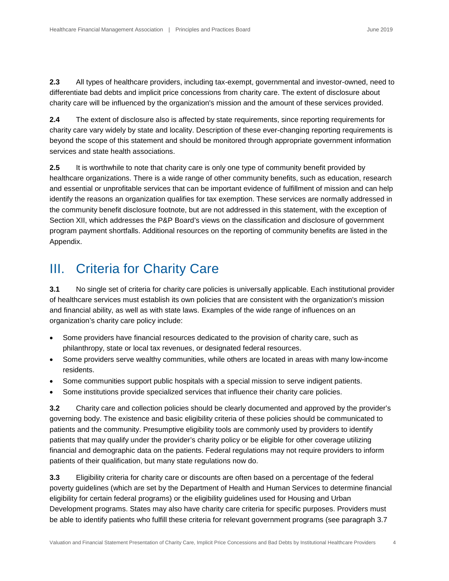**2.3** All types of healthcare providers, including tax-exempt, governmental and investor-owned, need to differentiate bad debts and implicit price concessions from charity care. The extent of disclosure about charity care will be influenced by the organization's mission and the amount of these services provided.

**2.4** The extent of disclosure also is affected by state requirements, since reporting requirements for charity care vary widely by state and locality. Description of these ever-changing reporting requirements is beyond the scope of this statement and should be monitored through appropriate government information services and state health associations.

**2.5** It is worthwhile to note that charity care is only one type of community benefit provided by healthcare organizations. There is a wide range of other community benefits, such as education, research and essential or unprofitable services that can be important evidence of fulfillment of mission and can help identify the reasons an organization qualifies for tax exemption. These services are normally addressed in the community benefit disclosure footnote, but are not addressed in this statement, with the exception of Section XII, which addresses the P&P Board's views on the classification and disclosure of government program payment shortfalls. Additional resources on the reporting of community benefits are listed in the Appendix.

### <span id="page-4-0"></span>III. Criteria for Charity Care

**3.1** No single set of criteria for charity care policies is universally applicable. Each institutional provider of healthcare services must establish its own policies that are consistent with the organization's mission and financial ability, as well as with state laws. Examples of the wide range of influences on an organization's charity care policy include:

- Some providers have financial resources dedicated to the provision of charity care, such as philanthropy, state or local tax revenues, or designated federal resources.
- Some providers serve wealthy communities, while others are located in areas with many low-income residents.
- Some communities support public hospitals with a special mission to serve indigent patients.
- Some institutions provide specialized services that influence their charity care policies.

**3.2** Charity care and collection policies should be clearly documented and approved by the provider's governing body. The existence and basic eligibility criteria of these policies should be communicated to patients and the community. Presumptive eligibility tools are commonly used by providers to identify patients that may qualify under the provider's charity policy or be eligible for other coverage utilizing financial and demographic data on the patients. Federal regulations may not require providers to inform patients of their qualification, but many state regulations now do.

**3.3** Eligibility criteria for charity care or discounts are often based on a percentage of the federal poverty guidelines (which are set by the Department of Health and Human Services to determine financial eligibility for certain federal programs) or the eligibility guidelines used for Housing and Urban Development programs. States may also have charity care criteria for specific purposes. Providers must be able to identify patients who fulfill these criteria for relevant government programs (see paragraph 3.7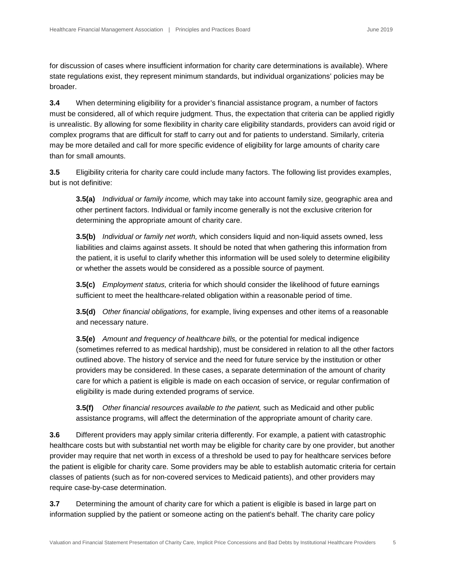for discussion of cases where insufficient information for charity care determinations is available). Where state regulations exist, they represent minimum standards, but individual organizations' policies may be broader.

**3.4** When determining eligibility for a provider's financial assistance program, a number of factors must be considered, all of which require judgment. Thus, the expectation that criteria can be applied rigidly is unrealistic. By allowing for some flexibility in charity care eligibility standards, providers can avoid rigid or complex programs that are difficult for staff to carry out and for patients to understand. Similarly, criteria may be more detailed and call for more specific evidence of eligibility for large amounts of charity care than for small amounts.

**3.5** Eligibility criteria for charity care could include many factors. The following list provides examples, but is not definitive:

**3.5(a)** *Individual or family income,* which may take into account family size, geographic area and other pertinent factors. Individual or family income generally is not the exclusive criterion for determining the appropriate amount of charity care.

**3.5(b)** *Individual or family net worth,* which considers liquid and non-liquid assets owned, less liabilities and claims against assets. It should be noted that when gathering this information from the patient, it is useful to clarify whether this information will be used solely to determine eligibility or whether the assets would be considered as a possible source of payment.

**3.5(c)** *Employment status,* criteria for which should consider the likelihood of future earnings sufficient to meet the healthcare-related obligation within a reasonable period of time.

**3.5(d)** *Other financial obligations,* for example, living expenses and other items of a reasonable and necessary nature.

**3.5(e)** *Amount and frequency of healthcare bills,* or the potential for medical indigence (sometimes referred to as medical hardship), must be considered in relation to all the other factors outlined above. The history of service and the need for future service by the institution or other providers may be considered. In these cases, a separate determination of the amount of charity care for which a patient is eligible is made on each occasion of service, or regular confirmation of eligibility is made during extended programs of service.

**3.5(f)** *Other financial resources available to the patient,* such as Medicaid and other public assistance programs, will affect the determination of the appropriate amount of charity care.

**3.6** Different providers may apply similar criteria differently. For example, a patient with catastrophic healthcare costs but with substantial net worth may be eligible for charity care by one provider, but another provider may require that net worth in excess of a threshold be used to pay for healthcare services before the patient is eligible for charity care. Some providers may be able to establish automatic criteria for certain classes of patients (such as for non-covered services to Medicaid patients), and other providers may require case-by-case determination.

**3.7** Determining the amount of charity care for which a patient is eligible is based in large part on information supplied by the patient or someone acting on the patient's behalf. The charity care policy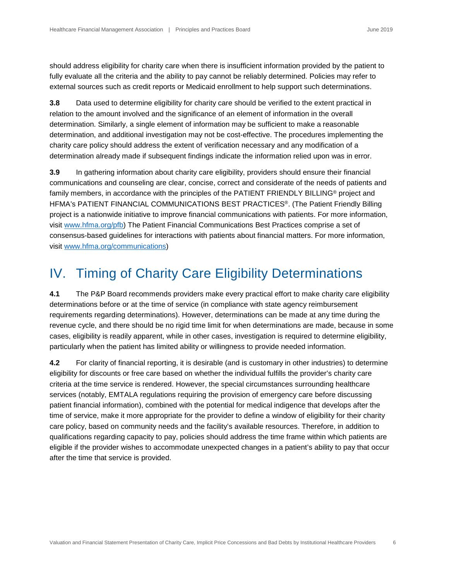should address eligibility for charity care when there is insufficient information provided by the patient to fully evaluate all the criteria and the ability to pay cannot be reliably determined. Policies may refer to external sources such as credit reports or Medicaid enrollment to help support such determinations.

**3.8** Data used to determine eligibility for charity care should be verified to the extent practical in relation to the amount involved and the significance of an element of information in the overall determination. Similarly, a single element of information may be sufficient to make a reasonable determination, and additional investigation may not be cost-effective. The procedures implementing the charity care policy should address the extent of verification necessary and any modification of a determination already made if subsequent findings indicate the information relied upon was in error.

**3.9** In gathering information about charity care eligibility, providers should ensure their financial communications and counseling are clear, concise, correct and considerate of the needs of patients and family members, in accordance with the principles of the PATIENT FRIENDLY BILLING<sup>®</sup> project and HFMA's PATIENT FINANCIAL COMMUNICATIONS BEST PRACTICES®. (The Patient Friendly Billing project is a nationwide initiative to improve financial communications with patients. For more information, visit [www.hfma.org/pfb\)](https://www.hfma.org/pfb/) The Patient Financial Communications Best Practices comprise a set of consensus-based guidelines for interactions with patients about financial matters. For more information, visit [www.hfma.org/communications\)](https://www.hfma.org/communications/)

### <span id="page-6-0"></span>IV. Timing of Charity Care Eligibility Determinations

**4.1** The P&P Board recommends providers make every practical effort to make charity care eligibility determinations before or at the time of service (in compliance with state agency reimbursement requirements regarding determinations). However, determinations can be made at any time during the revenue cycle, and there should be no rigid time limit for when determinations are made, because in some cases, eligibility is readily apparent, while in other cases, investigation is required to determine eligibility, particularly when the patient has limited ability or willingness to provide needed information.

**4.2** For clarity of financial reporting, it is desirable (and is customary in other industries) to determine eligibility for discounts or free care based on whether the individual fulfills the provider's charity care criteria at the time service is rendered. However, the special circumstances surrounding healthcare services (notably, EMTALA regulations requiring the provision of emergency care before discussing patient financial information), combined with the potential for medical indigence that develops after the time of service, make it more appropriate for the provider to define a window of eligibility for their charity care policy, based on community needs and the facility's available resources. Therefore, in addition to qualifications regarding capacity to pay, policies should address the time frame within which patients are eligible if the provider wishes to accommodate unexpected changes in a patient's ability to pay that occur after the time that service is provided.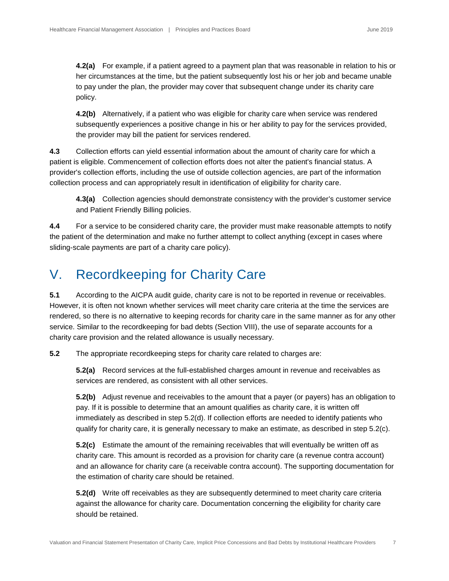**4.2(a)** For example, if a patient agreed to a payment plan that was reasonable in relation to his or her circumstances at the time, but the patient subsequently lost his or her job and became unable to pay under the plan, the provider may cover that subsequent change under its charity care policy.

**4.2(b)** Alternatively, if a patient who was eligible for charity care when service was rendered subsequently experiences a positive change in his or her ability to pay for the services provided, the provider may bill the patient for services rendered.

**4.3** Collection efforts can yield essential information about the amount of charity care for which a patient is eligible. Commencement of collection efforts does not alter the patient's financial status. A provider's collection efforts, including the use of outside collection agencies, are part of the information collection process and can appropriately result in identification of eligibility for charity care.

**4.3(a)** Collection agencies should demonstrate consistency with the provider's customer service and Patient Friendly Billing policies.

**4.4** For a service to be considered charity care, the provider must make reasonable attempts to notify the patient of the determination and make no further attempt to collect anything (except in cases where sliding-scale payments are part of a charity care policy).

## <span id="page-7-0"></span>V. Recordkeeping for Charity Care

**5.1** According to the AICPA audit guide, charity care is not to be reported in revenue or receivables. However, it is often not known whether services will meet charity care criteria at the time the services are rendered, so there is no alternative to keeping records for charity care in the same manner as for any other service. Similar to the recordkeeping for bad debts (Section VIII), the use of separate accounts for a charity care provision and the related allowance is usually necessary.

**5.2** The appropriate recordkeeping steps for charity care related to charges are:

**5.2(a)** Record services at the full-established charges amount in revenue and receivables as services are rendered, as consistent with all other services.

**5.2(b)** Adjust revenue and receivables to the amount that a payer (or payers) has an obligation to pay. If it is possible to determine that an amount qualifies as charity care, it is written off immediately as described in step 5.2(d). If collection efforts are needed to identify patients who qualify for charity care, it is generally necessary to make an estimate, as described in step 5.2(c).

**5.2(c)** Estimate the amount of the remaining receivables that will eventually be written off as charity care. This amount is recorded as a provision for charity care (a revenue contra account) and an allowance for charity care (a receivable contra account). The supporting documentation for the estimation of charity care should be retained.

**5.2(d)** Write off receivables as they are subsequently determined to meet charity care criteria against the allowance for charity care. Documentation concerning the eligibility for charity care should be retained.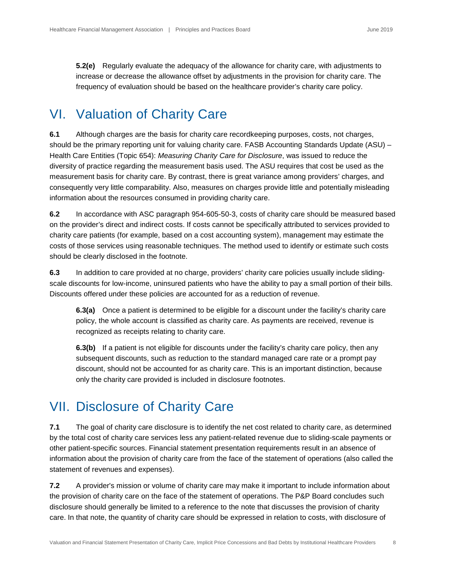**5.2(e)** Regularly evaluate the adequacy of the allowance for charity care, with adjustments to increase or decrease the allowance offset by adjustments in the provision for charity care. The frequency of evaluation should be based on the healthcare provider's charity care policy.

#### <span id="page-8-0"></span>VI. Valuation of Charity Care

**6.1** Although charges are the basis for charity care recordkeeping purposes, costs, not charges, should be the primary reporting unit for valuing charity care. FASB Accounting Standards Update (ASU) – Health Care Entities (Topic 654): *Measuring Charity Care for Disclosure*, was issued to reduce the diversity of practice regarding the measurement basis used. The ASU requires that cost be used as the measurement basis for charity care. By contrast, there is great variance among providers' charges, and consequently very little comparability. Also, measures on charges provide little and potentially misleading information about the resources consumed in providing charity care.

**6.2** In accordance with ASC paragraph 954-605-50-3, costs of charity care should be measured based on the provider's direct and indirect costs. If costs cannot be specifically attributed to services provided to charity care patients (for example, based on a cost accounting system), management may estimate the costs of those services using reasonable techniques. The method used to identify or estimate such costs should be clearly disclosed in the footnote.

**6.3** In addition to care provided at no charge, providers' charity care policies usually include slidingscale discounts for low-income, uninsured patients who have the ability to pay a small portion of their bills. Discounts offered under these policies are accounted for as a reduction of revenue.

**6.3(a)** Once a patient is determined to be eligible for a discount under the facility's charity care policy, the whole account is classified as charity care. As payments are received, revenue is recognized as receipts relating to charity care.

**6.3(b)** If a patient is not eligible for discounts under the facility's charity care policy, then any subsequent discounts, such as reduction to the standard managed care rate or a prompt pay discount, should not be accounted for as charity care. This is an important distinction, because only the charity care provided is included in disclosure footnotes.

#### <span id="page-8-1"></span>VII. Disclosure of Charity Care

**7.1** The goal of charity care disclosure is to identify the net cost related to charity care, as determined by the total cost of charity care services less any patient-related revenue due to sliding-scale payments or other patient-specific sources. Financial statement presentation requirements result in an absence of information about the provision of charity care from the face of the statement of operations (also called the statement of revenues and expenses).

**7.2** A provider's mission or volume of charity care may make it important to include information about the provision of charity care on the face of the statement of operations. The P&P Board concludes such disclosure should generally be limited to a reference to the note that discusses the provision of charity care. In that note, the quantity of charity care should be expressed in relation to costs, with disclosure of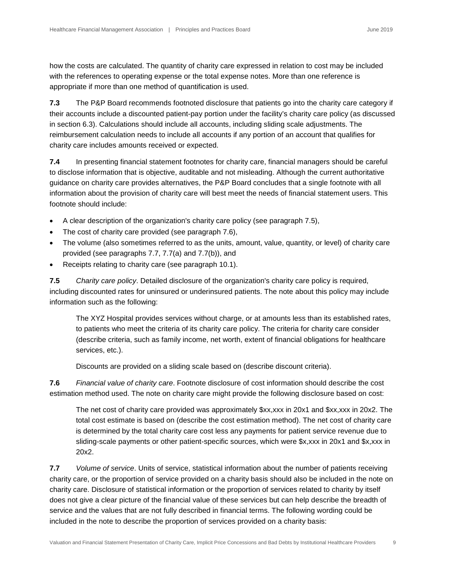how the costs are calculated. The quantity of charity care expressed in relation to cost may be included with the references to operating expense or the total expense notes. More than one reference is appropriate if more than one method of quantification is used.

**7.3** The P&P Board recommends footnoted disclosure that patients go into the charity care category if their accounts include a discounted patient-pay portion under the facility's charity care policy (as discussed in section 6.3). Calculations should include all accounts, including sliding scale adjustments. The reimbursement calculation needs to include all accounts if any portion of an account that qualifies for charity care includes amounts received or expected.

**7.4** In presenting financial statement footnotes for charity care, financial managers should be careful to disclose information that is objective, auditable and not misleading. Although the current authoritative guidance on charity care provides alternatives, the P&P Board concludes that a single footnote with all information about the provision of charity care will best meet the needs of financial statement users. This footnote should include:

- A clear description of the organization's charity care policy (see paragraph 7.5),
- The cost of charity care provided (see paragraph 7.6),
- The volume (also sometimes referred to as the units, amount, value, quantity, or level) of charity care provided (see paragraphs 7.7, 7.7(a) and 7.7(b)), and
- Receipts relating to charity care (see paragraph 10.1).

**7.5** *Charity care policy*. Detailed disclosure of the organization's charity care policy is required, including discounted rates for uninsured or underinsured patients. The note about this policy may include information such as the following:

The XYZ Hospital provides services without charge, or at amounts less than its established rates, to patients who meet the criteria of its charity care policy. The criteria for charity care consider (describe criteria, such as family income, net worth, extent of financial obligations for healthcare services, etc.).

Discounts are provided on a sliding scale based on (describe discount criteria).

**7.6** *Financial value of charity care*. Footnote disclosure of cost information should describe the cost estimation method used. The note on charity care might provide the following disclosure based on cost:

The net cost of charity care provided was approximately \$xx,xxx in 20x1 and \$xx,xxx in 20x2. The total cost estimate is based on (describe the cost estimation method). The net cost of charity care is determined by the total charity care cost less any payments for patient service revenue due to sliding-scale payments or other patient-specific sources, which were \$x,xxx in 20x1 and \$x,xxx in 20x2.

**7.7** *Volume of service*. Units of service, statistical information about the number of patients receiving charity care, or the proportion of service provided on a charity basis should also be included in the note on charity care. Disclosure of statistical information or the proportion of services related to charity by itself does not give a clear picture of the financial value of these services but can help describe the breadth of service and the values that are not fully described in financial terms. The following wording could be included in the note to describe the proportion of services provided on a charity basis: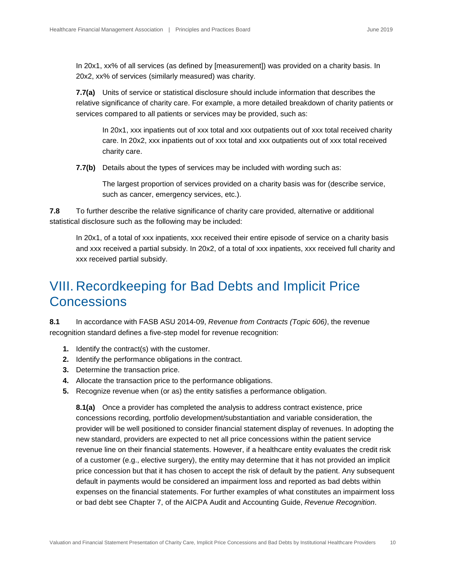In 20x1, xx% of all services (as defined by [measurement]) was provided on a charity basis. In 20x2, xx% of services (similarly measured) was charity.

**7.7(a)** Units of service or statistical disclosure should include information that describes the relative significance of charity care. For example, a more detailed breakdown of charity patients or services compared to all patients or services may be provided, such as:

In 20x1, xxx inpatients out of xxx total and xxx outpatients out of xxx total received charity care. In 20x2, xxx inpatients out of xxx total and xxx outpatients out of xxx total received charity care.

**7.7(b)** Details about the types of services may be included with wording such as:

The largest proportion of services provided on a charity basis was for (describe service, such as cancer, emergency services, etc.).

**7.8** To further describe the relative significance of charity care provided, alternative or additional statistical disclosure such as the following may be included:

In 20x1, of a total of xxx inpatients, xxx received their entire episode of service on a charity basis and xxx received a partial subsidy. In 20x2, of a total of xxx inpatients, xxx received full charity and xxx received partial subsidy.

### <span id="page-10-0"></span>VIII. Recordkeeping for Bad Debts and Implicit Price **Concessions**

**8.1** In accordance with FASB ASU 2014-09, *Revenue from Contracts (Topic 606)*, the revenue recognition standard defines a five-step model for revenue recognition:

- **1.** Identify the contract(s) with the customer.
- **2.** Identify the performance obligations in the contract.
- **3.** Determine the transaction price.
- **4.** Allocate the transaction price to the performance obligations.
- **5.** Recognize revenue when (or as) the entity satisfies a performance obligation.

**8.1(a)** Once a provider has completed the analysis to address contract existence, price concessions recording, portfolio development/substantiation and variable consideration, the provider will be well positioned to consider financial statement display of revenues. In adopting the new standard, providers are expected to net all price concessions within the patient service revenue line on their financial statements. However, if a healthcare entity evaluates the credit risk of a customer (e.g., elective surgery), the entity may determine that it has not provided an implicit price concession but that it has chosen to accept the risk of default by the patient. Any subsequent default in payments would be considered an impairment loss and reported as bad debts within expenses on the financial statements. For further examples of what constitutes an impairment loss or bad debt see Chapter 7, of the AICPA Audit and Accounting Guide, *Revenue Recognition*.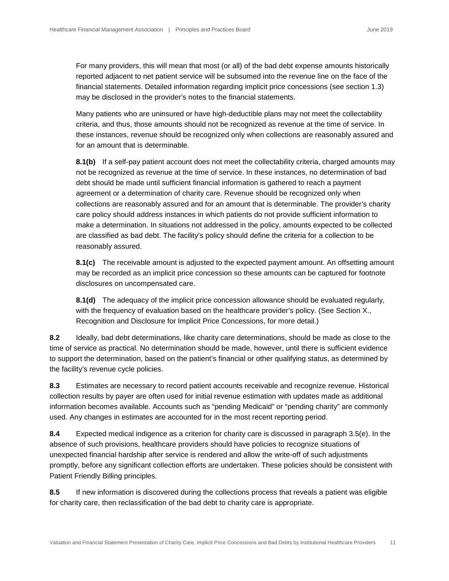For many providers, this will mean that most (or all) of the bad debt expense amounts historically reported adjacent to net patient service will be subsumed into the revenue line on the face of the financial statements. Detailed information regarding implicit price concessions (see section 1.3) may be disclosed in the provider's notes to the financial statements.

Many patients who are uninsured or have high-deductible plans may not meet the collectability criteria, and thus, those amounts should not be recognized as revenue at the time of service. In these instances, revenue should be recognized only when collections are reasonably assured and for an amount that is determinable.

**8.1(b)** If a self-pay patient account does not meet the collectability criteria, charged amounts may not be recognized as revenue at the time of service. In these instances, no determination of bad debt should be made until sufficient financial information is gathered to reach a payment agreement or a determination of charity care. Revenue should be recognized only when collections are reasonably assured and for an amount that is determinable. The provider's charity care policy should address instances in which patients do not provide sufficient information to make a determination. In situations not addressed in the policy, amounts expected to be collected are classified as bad debt. The facility's policy should define the criteria for a collection to be reasonably assured.

**8.1(c)** The receivable amount is adjusted to the expected payment amount. An offsetting amount may be recorded as an implicit price concession so these amounts can be captured for footnote disclosures on uncompensated care.

**8.1(d)** The adequacy of the implicit price concession allowance should be evaluated regularly, with the frequency of evaluation based on the healthcare provider's policy. (See Section X., Recognition and Disclosure for Implicit Price Concessions, for more detail.)

**8.2** Ideally, bad debt determinations, like charity care determinations, should be made as close to the time of service as practical. No determination should be made, however, until there is sufficient evidence to support the determination, based on the patient's financial or other qualifying status, as determined by the facility's revenue cycle policies.

**8.3** Estimates are necessary to record patient accounts receivable and recognize revenue. Historical collection results by payer are often used for initial revenue estimation with updates made as additional information becomes available. Accounts such as "pending Medicaid" or "pending charity" are commonly used. Any changes in estimates are accounted for in the most recent reporting period.

**8.4** Expected medical indigence as a criterion for charity care is discussed in paragraph 3.5(e). In the absence of such provisions, healthcare providers should have policies to recognize situations of unexpected financial hardship after service is rendered and allow the write-off of such adjustments promptly, before any significant collection efforts are undertaken. These policies should be consistent with Patient Friendly Billing principles.

**8.5** If new information is discovered during the collections process that reveals a patient was eligible for charity care, then reclassification of the bad debt to charity care is appropriate.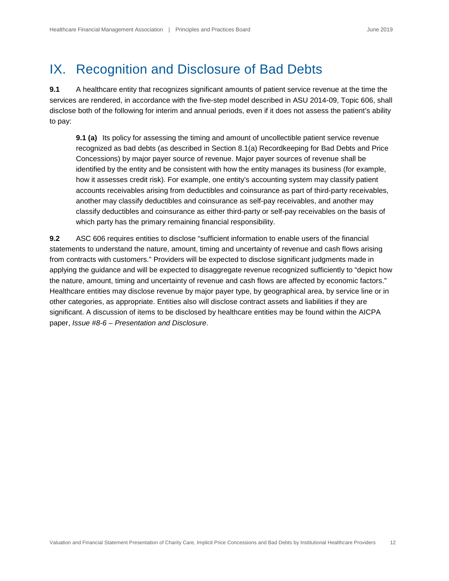# <span id="page-12-0"></span>IX. Recognition and Disclosure of Bad Debts

**9.1** A healthcare entity that recognizes significant amounts of patient service revenue at the time the services are rendered, in accordance with the five-step model described in ASU 2014-09, Topic 606, shall disclose both of the following for interim and annual periods, even if it does not assess the patient's ability to pay:

**9.1 (a)** Its policy for assessing the timing and amount of uncollectible patient service revenue recognized as bad debts (as described in Section 8.1(a) Recordkeeping for Bad Debts and Price Concessions) by major payer source of revenue. Major payer sources of revenue shall be identified by the entity and be consistent with how the entity manages its business (for example, how it assesses credit risk). For example, one entity's accounting system may classify patient accounts receivables arising from deductibles and coinsurance as part of third-party receivables, another may classify deductibles and coinsurance as self-pay receivables, and another may classify deductibles and coinsurance as either third-party or self-pay receivables on the basis of which party has the primary remaining financial responsibility.

**9.2** ASC 606 requires entities to disclose "sufficient information to enable users of the financial statements to understand the nature, amount, timing and uncertainty of revenue and cash flows arising from contracts with customers." Providers will be expected to disclose significant judgments made in applying the guidance and will be expected to disaggregate revenue recognized sufficiently to "depict how the nature, amount, timing and uncertainty of revenue and cash flows are affected by economic factors." Healthcare entities may disclose revenue by major payer type, by geographical area, by service line or in other categories, as appropriate. Entities also will disclose contract assets and liabilities if they are significant. A discussion of items to be disclosed by healthcare entities may be found within the AICPA paper, *Issue #8-6 – Presentation and Disclosure*.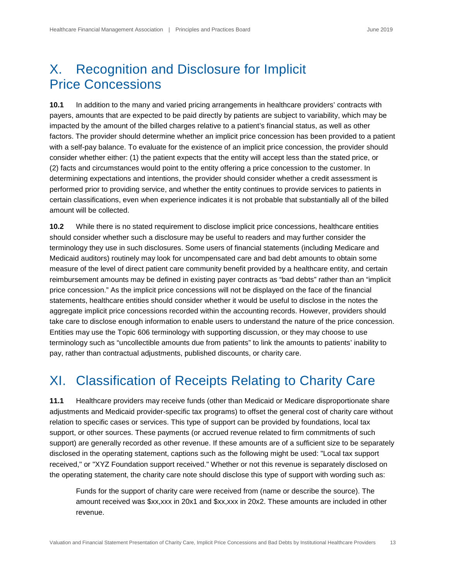## <span id="page-13-0"></span>X. Recognition and Disclosure for Implicit Price Concessions

**10.1** In addition to the many and varied pricing arrangements in healthcare providers' contracts with payers, amounts that are expected to be paid directly by patients are subject to variability, which may be impacted by the amount of the billed charges relative to a patient's financial status, as well as other factors. The provider should determine whether an implicit price concession has been provided to a patient with a self-pay balance. To evaluate for the existence of an implicit price concession, the provider should consider whether either: (1) the patient expects that the entity will accept less than the stated price, or (2) facts and circumstances would point to the entity offering a price concession to the customer. In determining expectations and intentions, the provider should consider whether a credit assessment is performed prior to providing service, and whether the entity continues to provide services to patients in certain classifications, even when experience indicates it is not probable that substantially all of the billed amount will be collected.

**10.2** While there is no stated requirement to disclose implicit price concessions, healthcare entities should consider whether such a disclosure may be useful to readers and may further consider the terminology they use in such disclosures. Some users of financial statements (including Medicare and Medicaid auditors) routinely may look for uncompensated care and bad debt amounts to obtain some measure of the level of direct patient care community benefit provided by a healthcare entity, and certain reimbursement amounts may be defined in existing payer contracts as "bad debts" rather than an "implicit price concession." As the implicit price concessions will not be displayed on the face of the financial statements, healthcare entities should consider whether it would be useful to disclose in the notes the aggregate implicit price concessions recorded within the accounting records. However, providers should take care to disclose enough information to enable users to understand the nature of the price concession. Entities may use the Topic 606 terminology with supporting discussion, or they may choose to use terminology such as "uncollectible amounts due from patients" to link the amounts to patients' inability to pay, rather than contractual adjustments, published discounts, or charity care.

## <span id="page-13-1"></span>XI. Classification of Receipts Relating to Charity Care

**11.1** Healthcare providers may receive funds (other than Medicaid or Medicare disproportionate share adjustments and Medicaid provider-specific tax programs) to offset the general cost of charity care without relation to specific cases or services. This type of support can be provided by foundations, local tax support, or other sources. These payments (or accrued revenue related to firm commitments of such support) are generally recorded as other revenue. If these amounts are of a sufficient size to be separately disclosed in the operating statement, captions such as the following might be used: "Local tax support received," or "XYZ Foundation support received." Whether or not this revenue is separately disclosed on the operating statement, the charity care note should disclose this type of support with wording such as:

Funds for the support of charity care were received from (name or describe the source). The amount received was \$xx,xxx in 20x1 and \$xx,xxx in 20x2. These amounts are included in other revenue.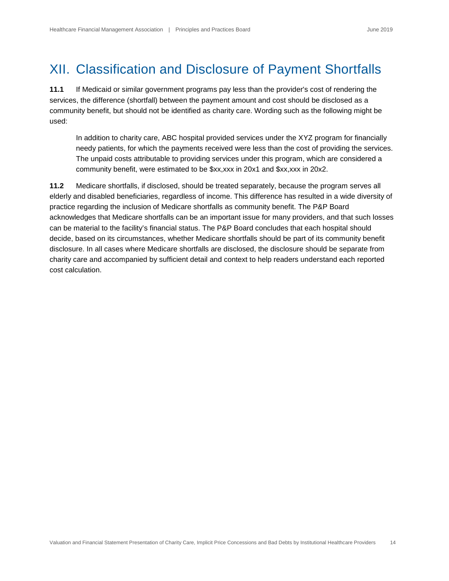# <span id="page-14-0"></span>XII. Classification and Disclosure of Payment Shortfalls

**11.1** If Medicaid or similar government programs pay less than the provider's cost of rendering the services, the difference (shortfall) between the payment amount and cost should be disclosed as a community benefit, but should not be identified as charity care. Wording such as the following might be used:

In addition to charity care, ABC hospital provided services under the XYZ program for financially needy patients, for which the payments received were less than the cost of providing the services. The unpaid costs attributable to providing services under this program, which are considered a community benefit, were estimated to be \$xx,xxx in 20x1 and \$xx,xxx in 20x2.

**11.2** Medicare shortfalls, if disclosed, should be treated separately, because the program serves all elderly and disabled beneficiaries, regardless of income. This difference has resulted in a wide diversity of practice regarding the inclusion of Medicare shortfalls as community benefit. The P&P Board acknowledges that Medicare shortfalls can be an important issue for many providers, and that such losses can be material to the facility's financial status. The P&P Board concludes that each hospital should decide, based on its circumstances, whether Medicare shortfalls should be part of its community benefit disclosure. In all cases where Medicare shortfalls are disclosed, the disclosure should be separate from charity care and accompanied by sufficient detail and context to help readers understand each reported cost calculation.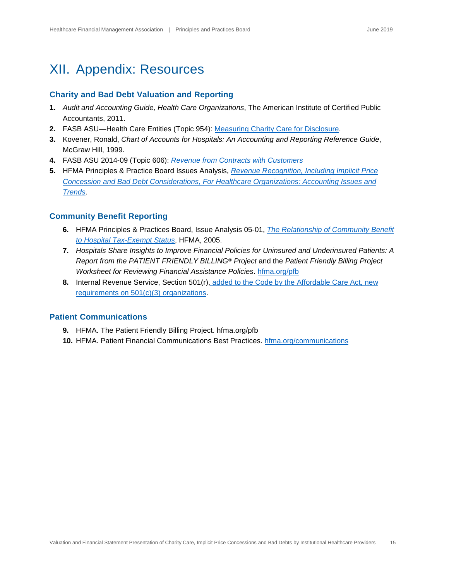### <span id="page-15-0"></span>XII. Appendix: Resources

#### **Charity and Bad Debt Valuation and Reporting**

- **1.** *Audit and Accounting Guide, Health Care Organizations*, The American Institute of Certified Public Accountants, 2011.
- **2.** FASB ASU—Health Care Entities (Topic 954): [Measuring Charity Care for Disclosure.](http://www.fasb.org/cs/BlobServer?blobcol=urldata&blobtable=MungoBlobs&blobkey=id&blobwhere=1175821172671&%20blobheader=application%2Fpdf)
- **3.** Kovener, Ronald, *Chart of Accounts for Hospitals: An Accounting and Reporting Reference Guide*, McGraw Hill, 1999.
- **4.** FASB ASU 2014-09 (Topic 606): *[Revenue from Contracts with Customers](file://users/boldyellow/Dropbox/Clients/hfma/2050_p+p-statement-15_(2019-03)/2050_client-files/1.http:/www.fasb.org/jsp/FASB/Document_C/DocumentPage?cid=1176164076069&acceptedDisclaimer=true)*
- **5.** HFMA Principles & Practice Board Issues Analysis, *[Revenue Recognition, Including Implicit Price](https://www.hfma.org/WorkArea/DownloadAsset.aspx?id=62806)  [Concession and Bad Debt Considerations, For Healthcare Organizations: Accounting Issues and](https://www.hfma.org/WorkArea/DownloadAsset.aspx?id=62806)  [Trends](https://www.hfma.org/WorkArea/DownloadAsset.aspx?id=62806)*.

#### **Community Benefit Reporting**

- **6.** HFMA Principles & Practices Board, Issue Analysis 05-01, *[The Relationship of Community Benefit](http://www.hfma.org/PandPBoardStatements)  [to Hospital Tax-Exempt Status](http://www.hfma.org/PandPBoardStatements)*, HFMA, 2005.
- **7.** *Hospitals Share Insights to Improve Financial Policies for Uninsured and Underinsured Patients: A Report from the PATIENT FRIENDLY BILLING® Project* and the *Patient Friendly Billing Project Worksheet for Reviewing Financial Assistance Policies*. [hfma.org/pfb](http://www.hfma.org/pfb)
- **8.** Internal Revenue Service, Section 501(r), [added to the Code by the Affordable Care Act, new](http://www.irs.gov/Charities-&-Non-Profits/Charitable-Organizations/New-Requirements-for-501(c)(3)-Hospitals-%20Under-the-Affordable-Care-Act)  [requirements on 501\(c\)\(3\) organizations.](http://www.irs.gov/Charities-&-Non-Profits/Charitable-Organizations/New-Requirements-for-501(c)(3)-Hospitals-%20Under-the-Affordable-Care-Act)

#### **Patient Communications**

- **9.** HFMA. The Patient Friendly Billing Project. hfma.org/pfb
- **10.** HFMA. Patient Financial Communications Best Practices. [hfma.org/communications](https://www.hfma.org/communications/)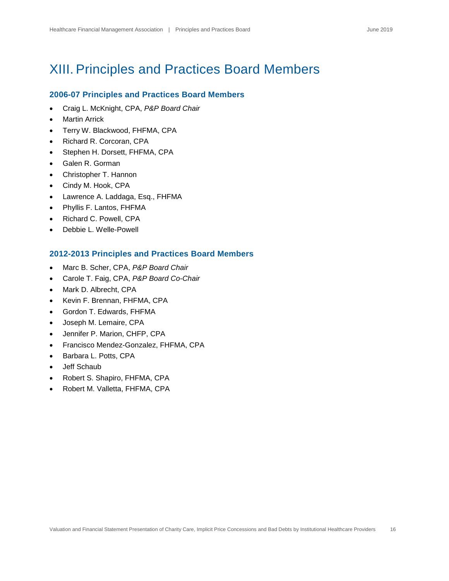### <span id="page-16-0"></span>XIII. Principles and Practices Board Members

#### **2006-07 Principles and Practices Board Members**

- Craig L. McKnight, CPA, *P&P Board Chair*
- Martin Arrick
- Terry W. Blackwood, FHFMA, CPA
- Richard R. Corcoran, CPA
- Stephen H. Dorsett, FHFMA, CPA
- Galen R. Gorman
- Christopher T. Hannon
- Cindy M. Hook, CPA
- Lawrence A. Laddaga, Esq., FHFMA
- Phyllis F. Lantos, FHFMA
- Richard C. Powell, CPA
- Debbie L. Welle-Powell

#### **2012-2013 Principles and Practices Board Members**

- Marc B. Scher, CPA, *P&P Board Chair*
- Carole T. Faig, CPA, *P&P Board Co-Chair*
- Mark D. Albrecht, CPA
- Kevin F. Brennan, FHFMA, CPA
- Gordon T. Edwards, FHFMA
- Joseph M. Lemaire, CPA
- Jennifer P. Marion, CHFP, CPA
- Francisco Mendez-Gonzalez, FHFMA, CPA
- Barbara L. Potts, CPA
- Jeff Schaub
- Robert S. Shapiro, FHFMA, CPA
- Robert M. Valletta, FHFMA, CPA